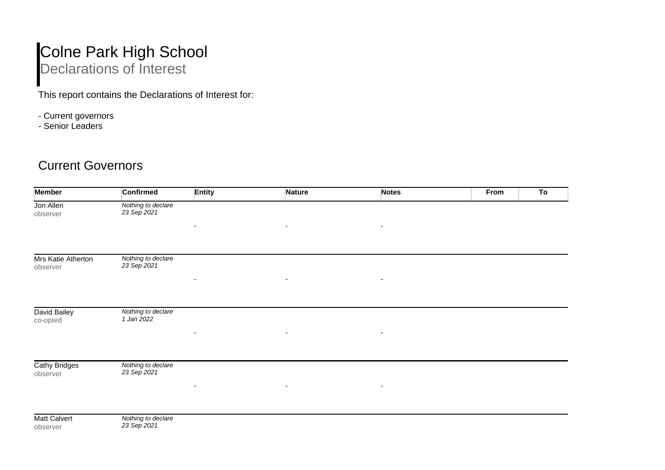## Colne Park High School Declarations of Interest

This report contains the Declarations of Interest for:

- Current governors
- Senior Leaders

## Current Governors

| <b>Member</b>                  | Confirmed                         | Entity | <b>Nature</b>            | <b>Notes</b> | From | To |
|--------------------------------|-----------------------------------|--------|--------------------------|--------------|------|----|
| Jon Allen<br>observer          | Nothing to declare<br>23 Sep 2021 |        |                          |              |      |    |
|                                |                                   |        |                          |              |      |    |
| Mrs Katie Atherton<br>observer | Nothing to declare<br>23 Sep 2021 |        |                          |              |      |    |
|                                |                                   |        |                          |              |      |    |
| David Bailey<br>co-opted       | Nothing to declare<br>1 Jan 2022  |        |                          |              |      |    |
|                                |                                   |        |                          |              |      |    |
| Cathy Bridges<br>observer      | Nothing to declare<br>23 Sep 2021 |        |                          |              |      |    |
|                                |                                   |        | $\overline{\phantom{a}}$ |              |      |    |
| Matt Calvert<br>observer       | Nothing to declare<br>23 Sep 2021 |        |                          |              |      |    |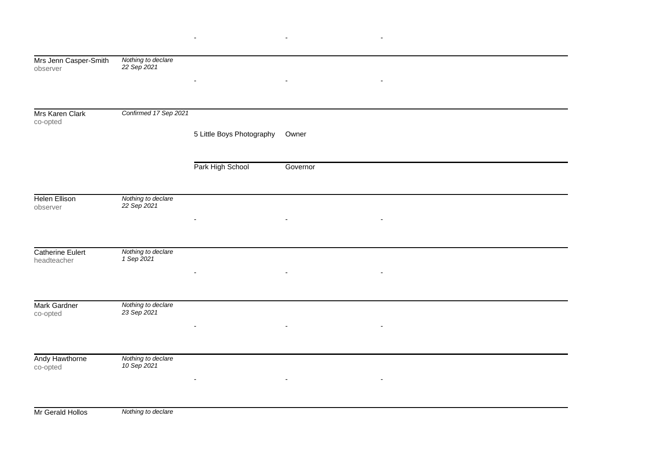| Mrs Jenn Casper-Smith<br>observer | Nothing to declare<br>22 Sep 2021 |                           |                          |                          |  |  |
|-----------------------------------|-----------------------------------|---------------------------|--------------------------|--------------------------|--|--|
|                                   |                                   |                           | $\overline{\phantom{a}}$ |                          |  |  |
| Mrs Karen Clark<br>co-opted       | Confirmed 17 Sep 2021             |                           |                          |                          |  |  |
|                                   |                                   | 5 Little Boys Photography | Owner                    |                          |  |  |
|                                   |                                   | Park High School          | Governor                 |                          |  |  |
| <b>Helen Ellison</b><br>observer  | Nothing to declare<br>22 Sep 2021 |                           |                          |                          |  |  |
|                                   |                                   |                           |                          |                          |  |  |
| Catherine Eulert<br>headteacher   | Nothing to declare<br>1 Sep 2021  |                           |                          |                          |  |  |
|                                   |                                   |                           | $\blacksquare$           |                          |  |  |
| Mark Gardner<br>co-opted          | Nothing to declare<br>23 Sep 2021 |                           |                          |                          |  |  |
|                                   |                                   |                           |                          |                          |  |  |
| <b>Andy Hawthorne</b><br>co-opted | Nothing to declare<br>10 Sep 2021 |                           | $\overline{\phantom{a}}$ | $\overline{\phantom{a}}$ |  |  |
|                                   |                                   |                           |                          |                          |  |  |
| Mr Gerald Hollos                  | Nothing to declare                |                           |                          |                          |  |  |

- - -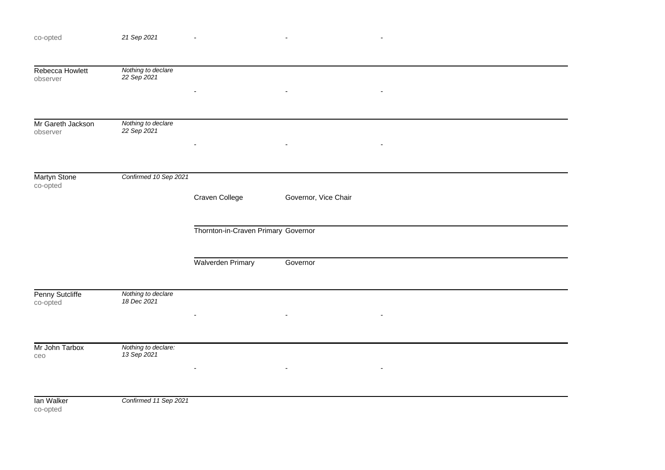| co-opted                      | 21 Sep 2021                        | $\overline{\phantom{a}}$            | $\blacksquare$           | $\blacksquare$           |  |  |
|-------------------------------|------------------------------------|-------------------------------------|--------------------------|--------------------------|--|--|
| Rebecca Howlett<br>observer   | Nothing to declare<br>22 Sep 2021  |                                     |                          |                          |  |  |
|                               |                                    |                                     | $\blacksquare$           | $\overline{\phantom{a}}$ |  |  |
| Mr Gareth Jackson<br>observer | Nothing to declare<br>22 Sep 2021  |                                     |                          |                          |  |  |
|                               |                                    |                                     | $\overline{\phantom{a}}$ | $\blacksquare$           |  |  |
| Martyn Stone<br>co-opted      | Confirmed 10 Sep 2021              |                                     |                          |                          |  |  |
|                               |                                    | Craven College                      | Governor, Vice Chair     |                          |  |  |
|                               |                                    | Thornton-in-Craven Primary Governor |                          |                          |  |  |
|                               |                                    | Walverden Primary                   | Governor                 |                          |  |  |
| Penny Sutcliffe<br>co-opted   | Nothing to declare<br>18 Dec 2021  |                                     |                          |                          |  |  |
|                               |                                    |                                     | $\overline{\phantom{a}}$ | $\overline{\phantom{a}}$ |  |  |
| Mr John Tarbox<br>ceo         | Nothing to declare:<br>13 Sep 2021 |                                     |                          |                          |  |  |
|                               |                                    |                                     | $\blacksquare$           | $\blacksquare$           |  |  |
| lan Walker<br>co-opted        | Confirmed 11 Sep 2021              |                                     |                          |                          |  |  |